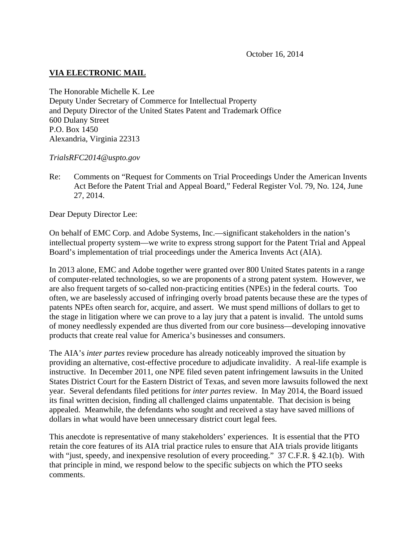# **VIA ELECTRONIC MAIL**

The Honorable Michelle K. Lee Deputy Under Secretary of Commerce for Intellectual Property and Deputy Director of the United States Patent and Trademark Office 600 Dulany Street P.O. Box 1450 Alexandria, Virginia 22313

*TrialsRFC2014@uspto.gov* 

Re: Comments on "Request for Comments on Trial Proceedings Under the American Invents Act Before the Patent Trial and Appeal Board," Federal Register Vol. 79, No. 124, June 27, 2014.

Dear Deputy Director Lee:

On behalf of EMC Corp. and Adobe Systems, Inc.—significant stakeholders in the nation's intellectual property system—we write to express strong support for the Patent Trial and Appeal Board's implementation of trial proceedings under the America Invents Act (AIA).

In 2013 alone, EMC and Adobe together were granted over 800 United States patents in a range of computer-related technologies, so we are proponents of a strong patent system. However, we are also frequent targets of so-called non-practicing entities (NPEs) in the federal courts. Too often, we are baselessly accused of infringing overly broad patents because these are the types of patents NPEs often search for, acquire, and assert. We must spend millions of dollars to get to the stage in litigation where we can prove to a lay jury that a patent is invalid. The untold sums of money needlessly expended are thus diverted from our core business—developing innovative products that create real value for America's businesses and consumers.

The AIA's *inter partes* review procedure has already noticeably improved the situation by providing an alternative, cost-effective procedure to adjudicate invalidity. A real-life example is instructive. In December 2011, one NPE filed seven patent infringement lawsuits in the United States District Court for the Eastern District of Texas, and seven more lawsuits followed the next year. Several defendants filed petitions for *inter partes* review. In May 2014, the Board issued its final written decision, finding all challenged claims unpatentable. That decision is being appealed. Meanwhile, the defendants who sought and received a stay have saved millions of dollars in what would have been unnecessary district court legal fees.

This anecdote is representative of many stakeholders' experiences. It is essential that the PTO retain the core features of its AIA trial practice rules to ensure that AIA trials provide litigants with "just, speedy, and inexpensive resolution of every proceeding." 37 C.F.R. § 42.1(b). With that principle in mind, we respond below to the specific subjects on which the PTO seeks comments.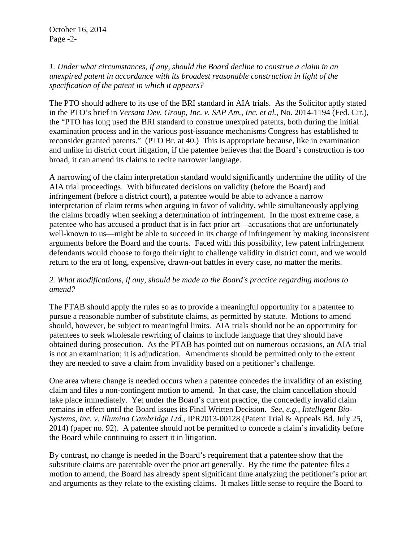## *1. Under what circumstances, if any, should the Board decline to construe a claim in an unexpired patent in accordance with its broadest reasonable construction in light of the specification of the patent in which it appears?*

The PTO should adhere to its use of the BRI standard in AIA trials. As the Solicitor aptly stated in the PTO's brief in *Versata Dev. Group, Inc. v. SAP Am., Inc. et al.*, No. 2014-1194 (Fed. Cir.), the "PTO has long used the BRI standard to construe unexpired patents, both during the initial examination process and in the various post-issuance mechanisms Congress has established to reconsider granted patents." (PTO Br. at 40.) This is appropriate because, like in examination and unlike in district court litigation, if the patentee believes that the Board's construction is too broad, it can amend its claims to recite narrower language.

A narrowing of the claim interpretation standard would significantly undermine the utility of the AIA trial proceedings. With bifurcated decisions on validity (before the Board) and infringement (before a district court), a patentee would be able to advance a narrow interpretation of claim terms when arguing in favor of validity, while simultaneously applying the claims broadly when seeking a determination of infringement. In the most extreme case, a patentee who has accused a product that is in fact prior art—accusations that are unfortunately well-known to us—might be able to succeed in its charge of infringement by making inconsistent arguments before the Board and the courts. Faced with this possibility, few patent infringement defendants would choose to forgo their right to challenge validity in district court, and we would return to the era of long, expensive, drawn-out battles in every case, no matter the merits.

## *2. What modifications, if any, should be made to the Board's practice regarding motions to amend?*

The PTAB should apply the rules so as to provide a meaningful opportunity for a patentee to pursue a reasonable number of substitute claims, as permitted by statute. Motions to amend should, however, be subject to meaningful limits. AIA trials should not be an opportunity for patentees to seek wholesale rewriting of claims to include language that they should have obtained during prosecution. As the PTAB has pointed out on numerous occasions, an AIA trial is not an examination; it is adjudication. Amendments should be permitted only to the extent they are needed to save a claim from invalidity based on a petitioner's challenge.

One area where change is needed occurs when a patentee concedes the invalidity of an existing claim and files a non-contingent motion to amend. In that case, the claim cancellation should take place immediately. Yet under the Board's current practice, the concededly invalid claim remains in effect until the Board issues its Final Written Decision. *See, e.g., Intelligent Bio-Systems, Inc. v. Illumina Cambridge Ltd.*, IPR2013-00128 (Patent Trial & Appeals Bd. July 25, 2014) (paper no. 92). A patentee should not be permitted to concede a claim's invalidity before the Board while continuing to assert it in litigation.

By contrast, no change is needed in the Board's requirement that a patentee show that the substitute claims are patentable over the prior art generally. By the time the patentee files a motion to amend, the Board has already spent significant time analyzing the petitioner's prior art and arguments as they relate to the existing claims. It makes little sense to require the Board to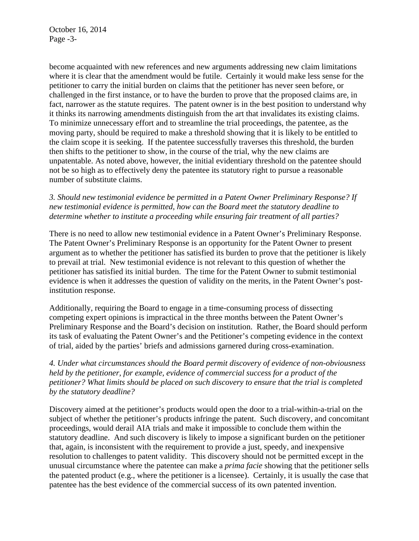October 16, 2014 Page -3-

become acquainted with new references and new arguments addressing new claim limitations where it is clear that the amendment would be futile. Certainly it would make less sense for the petitioner to carry the initial burden on claims that the petitioner has never seen before, or challenged in the first instance, or to have the burden to prove that the proposed claims are, in fact, narrower as the statute requires. The patent owner is in the best position to understand why it thinks its narrowing amendments distinguish from the art that invalidates its existing claims. To minimize unnecessary effort and to streamline the trial proceedings, the patentee, as the moving party, should be required to make a threshold showing that it is likely to be entitled to the claim scope it is seeking. If the patentee successfully traverses this threshold, the burden then shifts to the petitioner to show, in the course of the trial, why the new claims are unpatentable. As noted above, however, the initial evidentiary threshold on the patentee should not be so high as to effectively deny the patentee its statutory right to pursue a reasonable number of substitute claims.

*3. Should new testimonial evidence be permitted in a Patent Owner Preliminary Response? If new testimonial evidence is permitted, how can the Board meet the statutory deadline to determine whether to institute a proceeding while ensuring fair treatment of all parties?* 

There is no need to allow new testimonial evidence in a Patent Owner's Preliminary Response. The Patent Owner's Preliminary Response is an opportunity for the Patent Owner to present argument as to whether the petitioner has satisfied its burden to prove that the petitioner is likely to prevail at trial. New testimonial evidence is not relevant to this question of whether the petitioner has satisfied its initial burden. The time for the Patent Owner to submit testimonial evidence is when it addresses the question of validity on the merits, in the Patent Owner's postinstitution response.

Additionally, requiring the Board to engage in a time-consuming process of dissecting competing expert opinions is impractical in the three months between the Patent Owner's Preliminary Response and the Board's decision on institution. Rather, the Board should perform its task of evaluating the Patent Owner's and the Petitioner's competing evidence in the context of trial, aided by the parties' briefs and admissions garnered during cross-examination.

*4. Under what circumstances should the Board permit discovery of evidence of non-obviousness held by the petitioner, for example, evidence of commercial success for a product of the petitioner? What limits should be placed on such discovery to ensure that the trial is completed by the statutory deadline?* 

Discovery aimed at the petitioner's products would open the door to a trial-within-a-trial on the subject of whether the petitioner's products infringe the patent. Such discovery, and concomitant proceedings, would derail AIA trials and make it impossible to conclude them within the statutory deadline. And such discovery is likely to impose a significant burden on the petitioner that, again, is inconsistent with the requirement to provide a just, speedy, and inexpensive resolution to challenges to patent validity. This discovery should not be permitted except in the unusual circumstance where the patentee can make a *prima facie* showing that the petitioner sells the patented product (e.g., where the petitioner is a licensee). Certainly, it is usually the case that patentee has the best evidence of the commercial success of its own patented invention.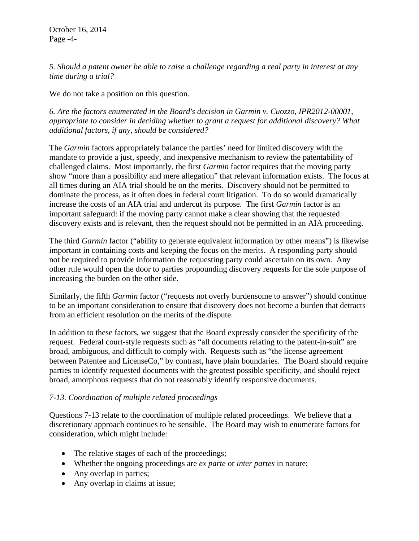October 16, 2014 Page -4-

*5. Should a patent owner be able to raise a challenge regarding a real party in interest at any time during a trial?* 

We do not take a position on this question.

*6. Are the factors enumerated in the Board's decision in Garmin v. Cuozzo, IPR2012-00001, appropriate to consider in deciding whether to grant a request for additional discovery? What additional factors, if any, should be considered?* 

The *Garmin* factors appropriately balance the parties' need for limited discovery with the mandate to provide a just, speedy, and inexpensive mechanism to review the patentability of challenged claims. Most importantly, the first *Garmin* factor requires that the moving party show "more than a possibility and mere allegation" that relevant information exists. The focus at all times during an AIA trial should be on the merits. Discovery should not be permitted to dominate the process, as it often does in federal court litigation. To do so would dramatically increase the costs of an AIA trial and undercut its purpose. The first *Garmin* factor is an important safeguard: if the moving party cannot make a clear showing that the requested discovery exists and is relevant, then the request should not be permitted in an AIA proceeding.

The third *Garmin* factor ("ability to generate equivalent information by other means") is likewise important in containing costs and keeping the focus on the merits. A responding party should not be required to provide information the requesting party could ascertain on its own. Any other rule would open the door to parties propounding discovery requests for the sole purpose of increasing the burden on the other side.

Similarly, the fifth *Garmin* factor ("requests not overly burdensome to answer") should continue to be an important consideration to ensure that discovery does not become a burden that detracts from an efficient resolution on the merits of the dispute.

In addition to these factors, we suggest that the Board expressly consider the specificity of the request. Federal court-style requests such as "all documents relating to the patent-in-suit" are broad, ambiguous, and difficult to comply with. Requests such as "the license agreement between Patentee and LicenseCo," by contrast, have plain boundaries. The Board should require parties to identify requested documents with the greatest possible specificity, and should reject broad, amorphous requests that do not reasonably identify responsive documents.

## *7-13. Coordination of multiple related proceedings*

Questions 7-13 relate to the coordination of multiple related proceedings. We believe that a discretionary approach continues to be sensible. The Board may wish to enumerate factors for consideration, which might include:

- The relative stages of each of the proceedings;
- Whether the ongoing proceedings are *ex parte* or *inter partes* in nature;
- Any overlap in parties;
- Any overlap in claims at issue;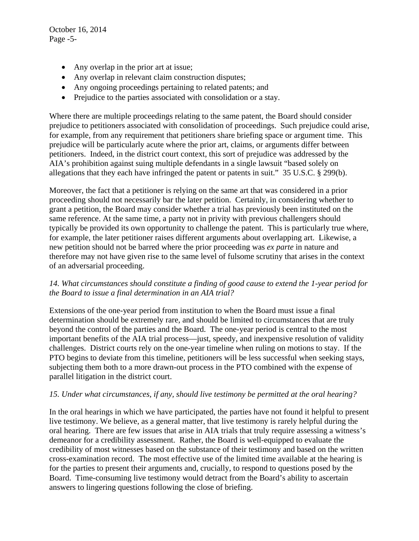October 16, 2014 Page -5-

- Any overlap in the prior art at issue;
- Any overlap in relevant claim construction disputes;
- Any ongoing proceedings pertaining to related patents; and
- Prejudice to the parties associated with consolidation or a stay.

Where there are multiple proceedings relating to the same patent, the Board should consider prejudice to petitioners associated with consolidation of proceedings. Such prejudice could arise, for example, from any requirement that petitioners share briefing space or argument time. This prejudice will be particularly acute where the prior art, claims, or arguments differ between petitioners. Indeed, in the district court context, this sort of prejudice was addressed by the AIA's prohibition against suing multiple defendants in a single lawsuit "based solely on allegations that they each have infringed the patent or patents in suit." 35 U.S.C. § 299(b).

Moreover, the fact that a petitioner is relying on the same art that was considered in a prior proceeding should not necessarily bar the later petition. Certainly, in considering whether to grant a petition, the Board may consider whether a trial has previously been instituted on the same reference. At the same time, a party not in privity with previous challengers should typically be provided its own opportunity to challenge the patent. This is particularly true where, for example, the later petitioner raises different arguments about overlapping art. Likewise, a new petition should not be barred where the prior proceeding was *ex parte* in nature and therefore may not have given rise to the same level of fulsome scrutiny that arises in the context of an adversarial proceeding.

## *14. What circumstances should constitute a finding of good cause to extend the 1-year period for the Board to issue a final determination in an AIA trial?*

Extensions of the one-year period from institution to when the Board must issue a final determination should be extremely rare, and should be limited to circumstances that are truly beyond the control of the parties and the Board. The one-year period is central to the most important benefits of the AIA trial process—just, speedy, and inexpensive resolution of validity challenges. District courts rely on the one-year timeline when ruling on motions to stay. If the PTO begins to deviate from this timeline, petitioners will be less successful when seeking stays, subjecting them both to a more drawn-out process in the PTO combined with the expense of parallel litigation in the district court.

## *15. Under what circumstances, if any, should live testimony be permitted at the oral hearing?*

In the oral hearings in which we have participated, the parties have not found it helpful to present live testimony. We believe, as a general matter, that live testimony is rarely helpful during the oral hearing. There are few issues that arise in AIA trials that truly require assessing a witness's demeanor for a credibility assessment. Rather, the Board is well-equipped to evaluate the credibility of most witnesses based on the substance of their testimony and based on the written cross-examination record. The most effective use of the limited time available at the hearing is for the parties to present their arguments and, crucially, to respond to questions posed by the Board. Time-consuming live testimony would detract from the Board's ability to ascertain answers to lingering questions following the close of briefing.